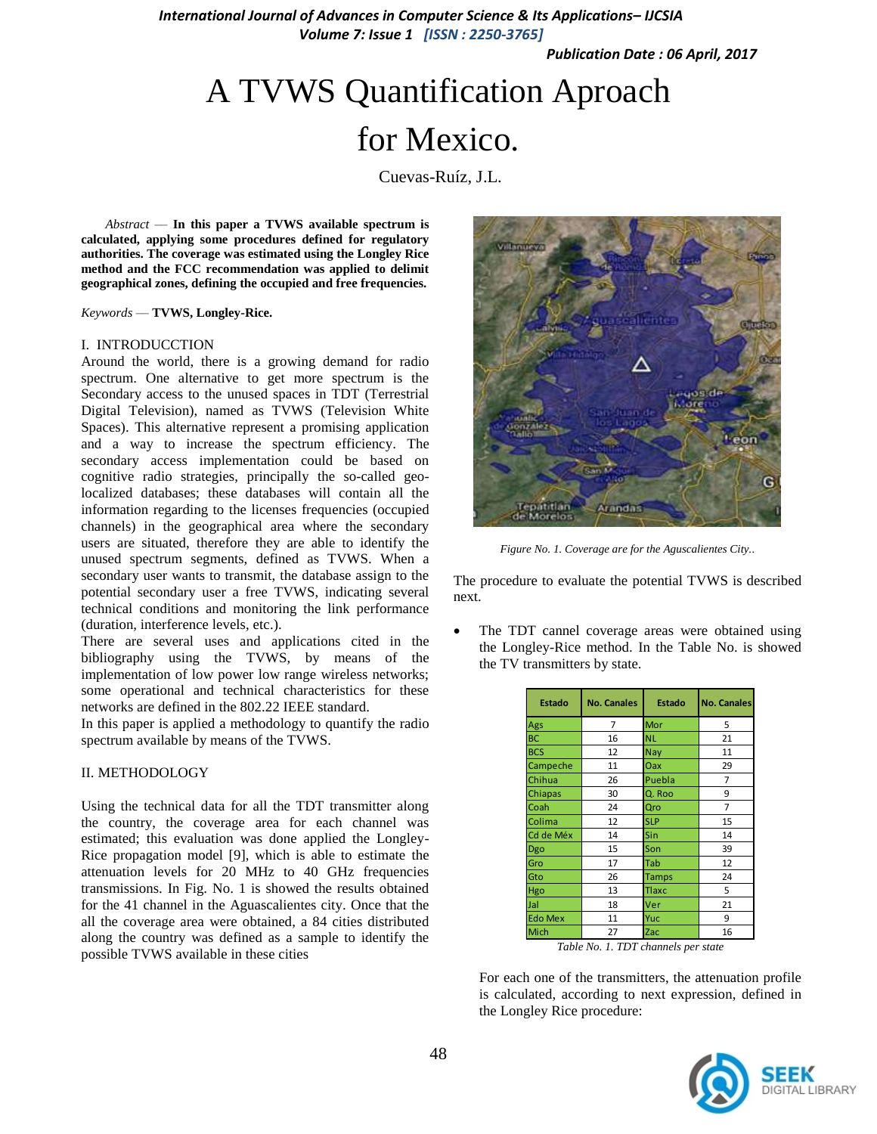*International Journal of Advances in Computer Science & Its Applications– IJCSIA Volume 7: Issue 1 [ISSN : 2250-3765]*

*Publication Date : 06 April, 2017*

# A TVWS Quantification Aproach for Mexico.

Cuevas-Ruíz, J.L.

*Abstract ––* **In this paper a TVWS available spectrum is calculated, applying some procedures defined for regulatory authorities. The coverage was estimated using the Longley Rice method and the FCC recommendation was applied to delimit geographical zones, defining the occupied and free frequencies.**

*Keywords ––* **TVWS, Longley-Rice.**

#### I. INTRODUCCTION

Around the world, there is a growing demand for radio spectrum. One alternative to get more spectrum is the Secondary access to the unused spaces in TDT (Terrestrial Digital Television), named as TVWS (Television White Spaces). This alternative represent a promising application and a way to increase the spectrum efficiency. The secondary access implementation could be based on cognitive radio strategies, principally the so-called geolocalized databases; these databases will contain all the information regarding to the licenses frequencies (occupied channels) in the geographical area where the secondary users are situated, therefore they are able to identify the unused spectrum segments, defined as TVWS. When a secondary user wants to transmit, the database assign to the potential secondary user a free TVWS, indicating several technical conditions and monitoring the link performance (duration, interference levels, etc.).

There are several uses and applications cited in the bibliography using the TVWS, by means of the implementation of low power low range wireless networks; some operational and technical characteristics for these networks are defined in the 802.22 IEEE standard.

In this paper is applied a methodology to quantify the radio spectrum available by means of the TVWS.

## II. METHODOLOGY

Using the technical data for all the TDT transmitter along the country, the coverage area for each channel was estimated; this evaluation was done applied the Longley-Rice propagation model [9], which is able to estimate the attenuation levels for 20 MHz to 40 GHz frequencies transmissions. In Fig. No. 1 is showed the results obtained for the 41 channel in the Aguascalientes city. Once that the all the coverage area were obtained, a 84 cities distributed along the country was defined as a sample to identify the possible TVWS available in these cities



*Figure No. 1. Coverage are for the Aguscalientes City..*

The procedure to evaluate the potential TVWS is described next.

 The TDT cannel coverage areas were obtained using the Longley-Rice method. In the Table No. is showed the TV transmitters by state.

| Estado         | <b>No. Canales</b> | <b>Estado</b> | <b>No. Canales</b> |  |  |
|----------------|--------------------|---------------|--------------------|--|--|
| Ags            | 7                  | Mor           | 5                  |  |  |
| <b>BC</b>      | 16                 | <b>NL</b>     | 21                 |  |  |
| <b>BCS</b>     | 12                 | <b>Nay</b>    | 11                 |  |  |
| Campeche       | 11                 | Oax           | 29                 |  |  |
| Chihua         | 26                 | Puebla        | 7                  |  |  |
| Chiapas        | 30                 | Q. Roo        | 9                  |  |  |
| Coah           | 24                 | Qro           | 7                  |  |  |
| Colima         | 12                 | <b>SLP</b>    | 15                 |  |  |
| Cd de Méx      | 14                 | Sin           | 14                 |  |  |
| Dgo            | 15                 | Son           | 39                 |  |  |
| Gro            | 17                 | Tab           | 12                 |  |  |
| Gto            | 26                 | <b>Tamps</b>  | 24                 |  |  |
| Hgo            | 13                 | <b>Tlaxc</b>  | 5                  |  |  |
| Jal            | 18                 | Ver           | 21                 |  |  |
| <b>Edo Mex</b> | 11                 | Yuc           | 9                  |  |  |
| Mich           | 27                 | Zac           | 16                 |  |  |

*Table No. 1. TDT channels per state*

For each one of the transmitters, the attenuation profile is calculated, according to next expression, defined in the Longley Rice procedure:

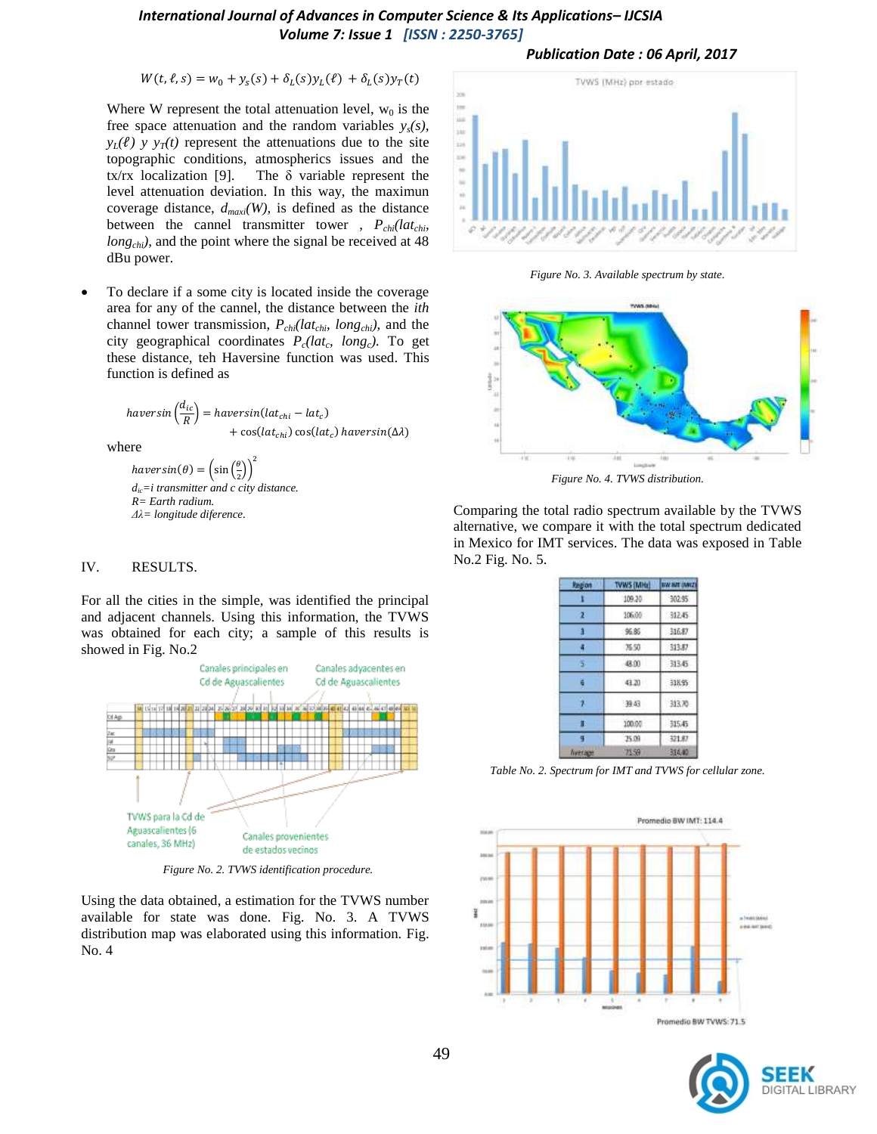# *International Journal of Advances in Computer Science & Its Applications– IJCSIA Volume 7: Issue 1 [ISSN : 2250-3765]*

 $W(t, \ell, s) = w_0 + y_s(s) + \delta_L(s) y_L(\ell) + \delta_L(s) y_T(t)$ 

Where W represent the total attenuation level,  $w_0$  is the free space attenuation and the random variables  $y_s(s)$ ,  $y_I(\ell)$  *y*  $y_T(t)$  represent the attenuations due to the site topographic conditions, atmospherics issues and the tx/rx localization [9]. The  $\delta$  variable represent the level attenuation deviation. In this way, the maximun coverage distance, *dmaxi(W),* is defined as the distance between the cannel transmitter tower,  $P_{\text{chi}}/(\text{lat}_{\text{chi}})$ *long<sub>chi</sub>*), and the point where the signal be received at 48 dBu power.

 To declare if a some city is located inside the coverage area for any of the cannel, the distance between the *ith* channel tower transmission, *Pchi(latchi, longchi)*, and the city geographical coordinates *Pc(lat<sup>c</sup> , longc).* To get these distance, teh Haversine function was used. This function is defined as

$$
haversin\left(\frac{d_{ic}}{R}\right) = haversin(lat_{chi} - lat_c) + cos(lat_{chi})\cos(lat_c) \,haversin(\Delta\lambda)
$$

where

haversin( $\theta$ ) =  $\left(\sin\left(\frac{\theta}{2}\right)\right)$  $\frac{5}{2})$  $\overline{\mathbf{c}}$ *dic=i transmitter and c city distance. R= Earth radium. Δλ= longitude diference.*

#### IV. RESULTS.

For all the cities in the simple, was identified the principal and adjacent channels. Using this information, the TVWS was obtained for each city; a sample of this results is showed in Fig. No.2



*Figure No. 2. TVWS identification procedure.*

Using the data obtained, a estimation for the TVWS number available for state was done. Fig. No. 3. A TVWS distribution map was elaborated using this information. Fig. No. 4



*Publication Date : 06 April, 2017*

*Figure No. 3. Available spectrum by state.*



*Figure No. 4. TVWS distribution.*

Comparing the total radio spectrum available by the TVWS alternative, we compare it with the total spectrum dedicated in Mexico for IMT services. The data was exposed in Table No.2 Fig. No. 5.

| Region         | <b>TVWS (MHz)</b> | <b>WW INT (MKZ)</b>        |  |  |
|----------------|-------------------|----------------------------|--|--|
|                | 109.20            | 302.95                     |  |  |
| z              | 106.00            | 312.45                     |  |  |
|                | 96.85             | 316.87                     |  |  |
|                | 35.50             | 313.87                     |  |  |
| ig.            | 48.00             | 313.45                     |  |  |
|                | 43.20             | 318.95<br>313.70<br>315.45 |  |  |
|                | 神経                |                            |  |  |
|                | 100.05            |                            |  |  |
| ٦              | 25.09             | 321.87                     |  |  |
| <b>Neerape</b> | 71.59             | 314.40                     |  |  |

*Table No. 2. Spectrum for IMT and TVWS for cellular zone.*



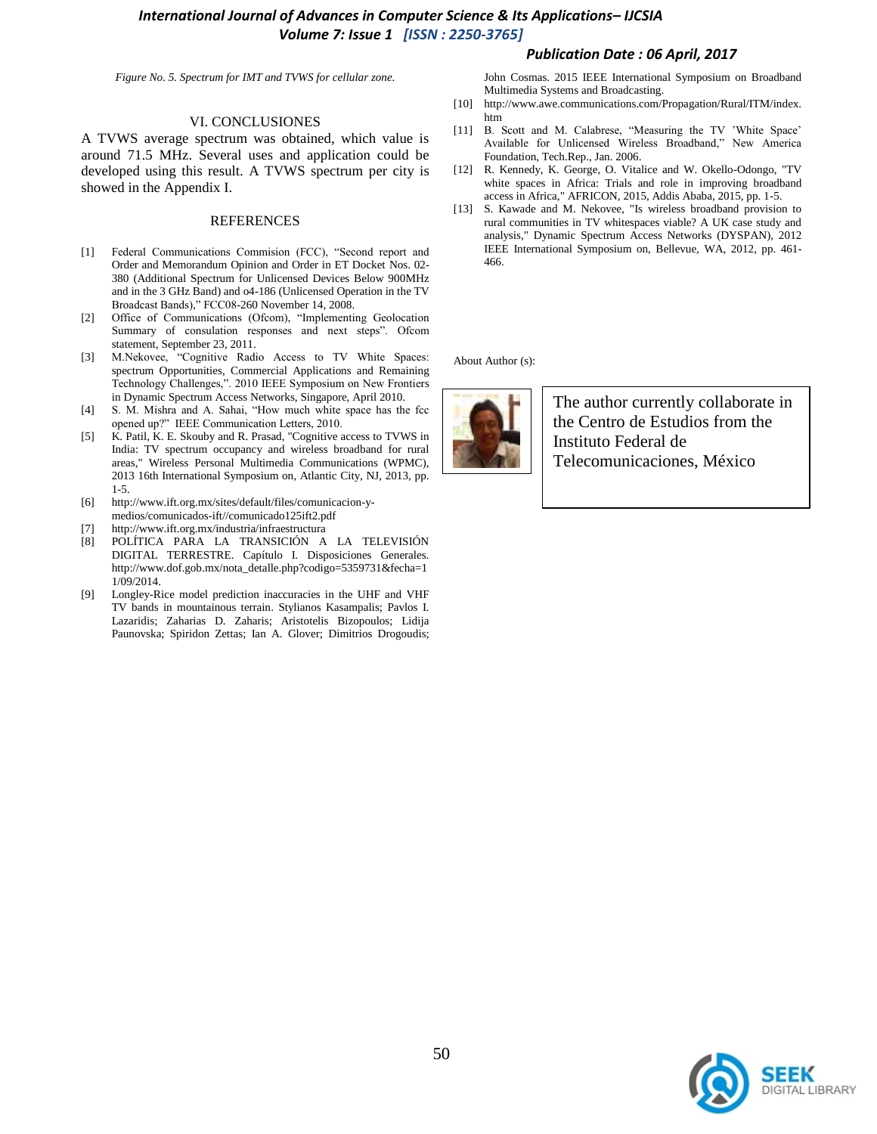# *International Journal of Advances in Computer Science & Its Applications– IJCSIA Volume 7: Issue 1 [ISSN : 2250-3765]*

## *Publication Date : 06 April, 2017*

*Figure No. 5. Spectrum for IMT and TVWS for cellular zone.*

#### VI. CONCLUSIONES

A TVWS average spectrum was obtained, which value is around 71.5 MHz. Several uses and application could be developed using this result. A TVWS spectrum per city is showed in the Appendix I.

## **REFERENCES**

- [1] Federal Communications Commision (FCC), "Second report and Order and Memorandum Opinion and Order in ET Docket Nos. 02- 380 (Additional Spectrum for Unlicensed Devices Below 900MHz and in the 3 GHz Band) and o4-186 (Unlicensed Operation in the TV Broadcast Bands)," FCC08-260 November 14, 2008.
- [2] Office of Communications (Ofcom), "Implementing Geolocation Summary of consulation responses and next steps". Ofcom statement, September 23, 2011.
- [3] M.Nekovee, "Cognitive Radio Access to TV White Spaces: spectrum Opportunities, Commercial Applications and Remaining Technology Challenges,". 2010 IEEE Symposium on New Frontiers in Dynamic Spectrum Access Networks, Singapore, April 2010.
- [4] S. M. Mishra and A. Sahai, "How much white space has the fcc opened up?" IEEE Communication Letters, 2010.
- [5] K. Patil, K. E. Skouby and R. Prasad, "Cognitive access to TVWS in India: TV spectrum occupancy and wireless broadband for rural areas," Wireless Personal Multimedia Communications (WPMC), 2013 16th International Symposium on, Atlantic City, NJ, 2013, pp. 1-5.
- [6] http://www.ift.org.mx/sites/default/files/comunicacion-ymedios/comunicados-ift//comunicado125ift2.pdf
- [7] http://www.ift.org.mx/industria/infraestructura
- [8] POLÍTICA PARA LA TRANSICIÓN A LA TELEVISIÓN DIGITAL TERRESTRE. Capítulo I. Disposiciones Generales. http://www.dof.gob.mx/nota\_detalle.php?codigo=5359731&fecha=1 1/09/2014.
- [9] Longley-Rice model prediction inaccuracies in the UHF and VHF TV bands in mountainous terrain. Stylianos Kasampalis; Pavlos I. Lazaridis; Zaharias D. Zaharis; Aristotelis Bizopoulos; Lidija Paunovska; Spiridon Zettas; Ian A. Glover; Dimitrios Drogoudis;

John Cosmas. 2015 IEEE International Symposium on Broadband Multimedia Systems and Broadcasting.

- [10] http://www.awe.communications.com/Propagation/Rural/ITM/index. htm
- [11] B. Scott and M. Calabrese, "Measuring the TV 'White Space' Available for Unlicensed Wireless Broadband," New America Foundation, Tech.Rep., Jan. 2006.
- [12] R. Kennedy, K. George, O. Vitalice and W. Okello-Odongo, "TV white spaces in Africa: Trials and role in improving broadband access in Africa," AFRICON, 2015, Addis Ababa, 2015, pp. 1-5.
- [13] S. Kawade and M. Nekovee, "Is wireless broadband provision to rural communities in TV whitespaces viable? A UK case study and analysis," Dynamic Spectrum Access Networks (DYSPAN), 2012 IEEE International Symposium on, Bellevue, WA, 2012, pp. 461- 466.

About Author (s):



The author currently collaborate in the Centro de Estudios from the Instituto Federal de Telecomunicaciones, México